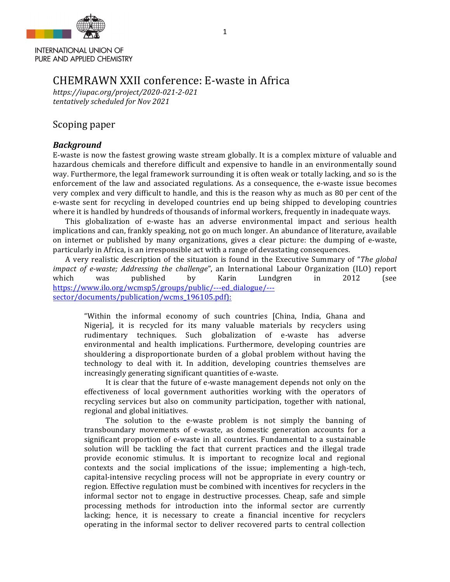

**INTERNATIONAL UNION OF** PURE AND APPLIED CHEMISTRY

## CHEMRAWN XXII conference: E-waste in Africa

*https://iupac.org/project/2020-021-2-021 tentatively scheduled for Nov 2021*

## Scoping paper

## *Background*

E-waste is now the fastest growing waste stream globally. It is a complex mixture of valuable and hazardous chemicals and therefore difficult and expensive to handle in an environmentally sound way. Furthermore, the legal framework surrounding it is often weak or totally lacking, and so is the enforcement of the law and associated regulations. As a consequence, the e-waste issue becomes very complex and very difficult to handle, and this is the reason why as much as 80 per cent of the e-waste sent for recycling in developed countries end up being shipped to developing countries where it is handled by hundreds of thousands of informal workers, frequently in inadequate ways.

This globalization of e-waste has an adverse environmental impact and serious health implications and can, frankly speaking, not go on much longer. An abundance of literature, available on internet or published by many organizations, gives a clear picture: the dumping of e-waste, particularly in Africa, is an irresponsible act with a range of devastating consequences.

A very realistic description of the situation is found in the Executive Summary of "*The global impact of e-waste; Addressing the challenge*", an International Labour Organization (ILO) report which was published by Karin Lundgren in 2012 (see https://www.ilo.org/wcmsp5/groups/public/---ed\_dialogue/-- sector/documents/publication/wcms\_196105.pdf):

"Within the informal economy of such countries [China, India, Ghana and Nigerial, it is recycled for its many valuable materials by recyclers using rudimentary techniques. Such globalization of e-waste has adverse environmental and health implications. Furthermore, developing countries are shouldering a disproportionate burden of a global problem without having the technology to deal with it. In addition, developing countries themselves are increasingly generating significant quantities of e-waste.

It is clear that the future of e-waste management depends not only on the effectiveness of local government authorities working with the operators of recycling services but also on community participation, together with national, regional and global initiatives.

The solution to the e-waste problem is not simply the banning of transboundary movements of e-waste, as domestic generation accounts for a significant proportion of e-waste in all countries. Fundamental to a sustainable solution will be tackling the fact that current practices and the illegal trade provide economic stimulus. It is important to recognize local and regional contexts and the social implications of the issue; implementing a high-tech, capital-intensive recycling process will not be appropriate in every country or region. Effective regulation must be combined with incentives for recyclers in the informal sector not to engage in destructive processes. Cheap, safe and simple processing methods for introduction into the informal sector are currently lacking; hence, it is necessary to create a financial incentive for recyclers operating in the informal sector to deliver recovered parts to central collection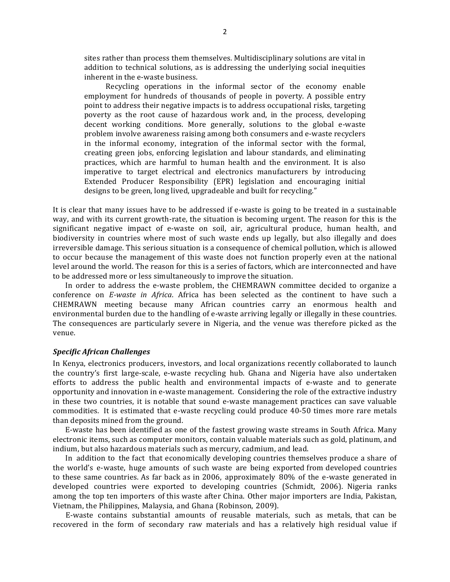sites rather than process them themselves. Multidisciplinary solutions are vital in addition to technical solutions, as is addressing the underlying social inequities inherent in the e-waste business.

Recycling operations in the informal sector of the economy enable employment for hundreds of thousands of people in poverty. A possible entry point to address their negative impacts is to address occupational risks, targeting poverty as the root cause of hazardous work and, in the process, developing decent working conditions. More generally, solutions to the global e-waste problem involve awareness raising among both consumers and e-waste recyclers in the informal economy, integration of the informal sector with the formal. creating green jobs, enforcing legislation and labour standards, and eliminating practices, which are harmful to human health and the environment. It is also imperative to target electrical and electronics manufacturers by introducing Extended Producer Responsibility (EPR) legislation and encouraging initial designs to be green, long lived, upgradeable and built for recycling."

It is clear that many issues have to be addressed if e-waste is going to be treated in a sustainable way, and with its current growth-rate, the situation is becoming urgent. The reason for this is the significant negative impact of e-waste on soil, air, agricultural produce, human health, and biodiversity in countries where most of such waste ends up legally, but also illegally and does irreversible damage. This serious situation is a consequence of chemical pollution, which is allowed to occur because the management of this waste does not function properly even at the national level around the world. The reason for this is a series of factors, which are interconnected and have to be addressed more or less simultaneously to improve the situation.

In order to address the e-waste problem, the CHEMRAWN committee decided to organize a conference on *E-waste in Africa*. Africa has been selected as the continent to have such a CHEMRAWN meeting because many African countries carry an enormous health and environmental burden due to the handling of e-waste arriving legally or illegally in these countries. The consequences are particularly severe in Nigeria, and the venue was therefore picked as the venue.

#### *Specific African Challenges*

In Kenya, electronics producers, investors, and local organizations recently collaborated to launch the country's first large-scale, e-waste recycling hub. Ghana and Nigeria have also undertaken efforts to address the public health and environmental impacts of e-waste and to generate opportunity and innovation in e-waste management. Considering the role of the extractive industry in these two countries, it is notable that sound e-waste management practices can save valuable commodities. It is estimated that e-waste recycling could produce 40-50 times more rare metals than deposits mined from the ground.

E-waste has been identified as one of the fastest growing waste streams in South Africa. Many electronic items, such as computer monitors, contain valuable materials such as gold, platinum, and indium, but also hazardous materials such as mercury, cadmium, and lead.

In addition to the fact that economically developing countries themselves produce a share of the world's e-waste, huge amounts of such waste are being exported from developed countries to these same countries. As far back as in 2006, approximately 80% of the e-waste generated in developed countries were exported to developing countries (Schmidt, 2006). Nigeria ranks among the top ten importers of this waste after China. Other major importers are India, Pakistan, Vietnam, the Philippines, Malaysia, and Ghana (Robinson, 2009).

E-waste contains substantial amounts of reusable materials, such as metals, that can be recovered in the form of secondary raw materials and has a relatively high residual value if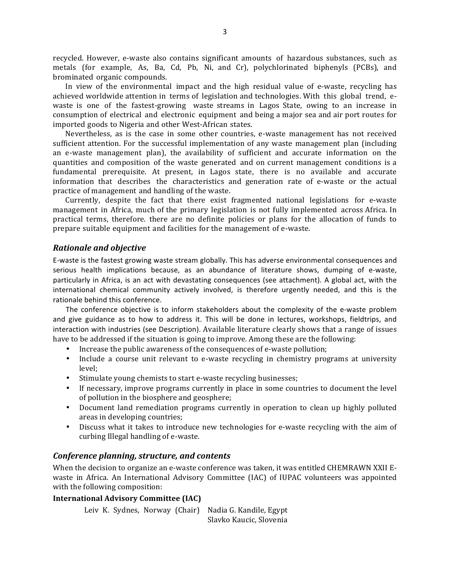recycled. However, e-waste also contains significant amounts of hazardous substances, such as metals (for example, As, Ba, Cd, Pb, Ni, and Cr), polychlorinated biphenyls (PCBs), and brominated organic compounds.

In view of the environmental impact and the high residual value of e-waste, recycling has achieved worldwide attention in terms of legislation and technologies. With this global trend, ewaste is one of the fastest-growing waste streams in Lagos State, owing to an increase in consumption of electrical and electronic equipment and being a major sea and air port routes for imported goods to Nigeria and other West-African states.

Nevertheless, as is the case in some other countries, e-waste management has not received sufficient attention. For the successful implementation of any waste management plan (including an e-waste management plan), the availability of sufficient and accurate information on the quantities and composition of the waste generated and on current management conditions is a fundamental prerequisite. At present, in Lagos state, there is no available and accurate information that describes the characteristics and generation rate of e-waste or the actual practice of management and handling of the waste.

Currently, despite the fact that there exist fragmented national legislations for e-waste management in Africa, much of the primary legislation is not fully implemented across Africa. In practical terms, therefore, there are no definite policies or plans for the allocation of funds to prepare suitable equipment and facilities for the management of e-waste.

#### *Rationale and objective*

E-waste is the fastest growing waste stream globally. This has adverse environmental consequences and serious health implications because, as an abundance of literature shows, dumping of e-waste, particularly in Africa, is an act with devastating consequences (see attachment). A global act, with the international chemical community actively involved, is therefore urgently needed, and this is the rationale behind this conference.

The conference objective is to inform stakeholders about the complexity of the e-waste problem and give guidance as to how to address it. This will be done in lectures, workshops, fieldtrips, and interaction with industries (see Description). Available literature clearly shows that a range of issues have to be addressed if the situation is going to improve. Among these are the following:

- Increase the public awareness of the consequences of e-waste pollution;
- Include a course unit relevant to e-waste recycling in chemistry programs at university level;
- Stimulate young chemists to start e-waste recycling businesses;
- If necessary, improve programs currently in place in some countries to document the level of pollution in the biosphere and geosphere;
- Document land remediation programs currently in operation to clean up highly polluted areas in developing countries;
- Discuss what it takes to introduce new technologies for e-waste recycling with the aim of curbing Illegal handling of e-waste.

#### *Conference planning, structure, and contents*

When the decision to organize an e-waste conference was taken, it was entitled CHEMRAWN XXII Ewaste in Africa. An International Advisory Committee (IAC) of IUPAC volunteers was appointed with the following composition:

#### **International Advisory Committee (IAC)**

```
Leiv K. Sydnes, Norway (Chair) Nadia G. Kandile, Egypt
                     Slavko Kaucic, Slovenia
```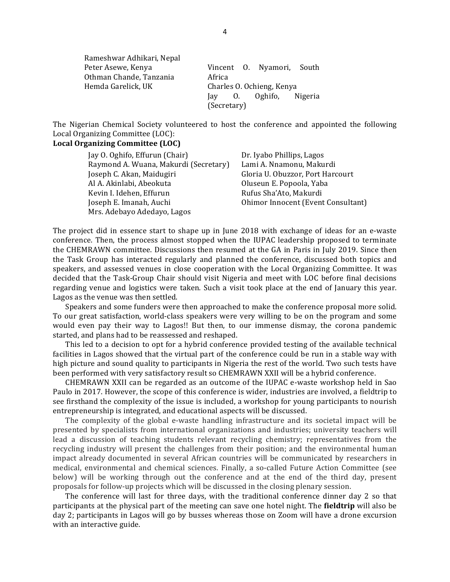| Rameshwar Adhikari, Nepal |                           |  |                           |         |
|---------------------------|---------------------------|--|---------------------------|---------|
| Peter Asewe, Kenya        |                           |  | Vincent O. Nyamori, South |         |
| Othman Chande, Tanzania   | Africa                    |  |                           |         |
| Hemda Garelick, UK        | Charles O. Ochieng, Kenya |  |                           |         |
|                           | lav 0.                    |  | Oghifo,                   | Nigeria |
|                           | (Secretary)               |  |                           |         |

The Nigerian Chemical Society volunteered to host the conference and appointed the following Local Organizing Committee (LOC):

#### Local Organizing Committee (LOC)

| Jay O. Oghifo, Effurun (Chair)        | Dr. Iyabo Phillips, Lagos          |
|---------------------------------------|------------------------------------|
| Raymond A. Wuana, Makurdi (Secretary) | Lami A. Nnamonu, Makurdi           |
| Joseph C. Akan, Maidugiri             | Gloria U. Obuzzor, Port Harcourt   |
| Al A. Akinlabi, Abeokuta              | Oluseun E. Popoola, Yaba           |
| Kevin I. Idehen, Effurun              | Rufus Sha'Ato, Makurdi             |
| Joseph E. Imanah, Auchi               | Ohimor Innocent (Event Consultant) |
| Mrs. Adebayo Adedayo, Lagos           |                                    |

The project did in essence start to shape up in June 2018 with exchange of ideas for an e-waste conference. Then, the process almost stopped when the IUPAC leadership proposed to terminate the CHEMRAWN committee. Discussions then resumed at the GA in Paris in July 2019. Since then the Task Group has interacted regularly and planned the conference, discussed both topics and speakers, and assessed venues in close cooperation with the Local Organizing Committee. It was decided that the Task-Group Chair should visit Nigeria and meet with LOC before final decisions regarding venue and logistics were taken. Such a visit took place at the end of January this year. Lagos as the venue was then settled.

Speakers and some funders were then approached to make the conference proposal more solid. To our great satisfaction, world-class speakers were very willing to be on the program and some would even pay their way to Lagos!! But then, to our immense dismay, the corona pandemic started, and plans had to be reassessed and reshaped.

This led to a decision to opt for a hybrid conference provided testing of the available technical facilities in Lagos showed that the virtual part of the conference could be run in a stable way with high picture and sound quality to participants in Nigeria the rest of the world. Two such tests have been performed with very satisfactory result so CHEMRAWN XXII will be a hybrid conference.

CHEMRAWN XXII can be regarded as an outcome of the IUPAC e-waste workshop held in Sao Paulo in 2017. However, the scope of this conference is wider, industries are involved, a fieldtrip to see firsthand the complexity of the issue is included, a workshop for young participants to nourish entrepreneurship is integrated, and educational aspects will be discussed.

The complexity of the global e-waste handling infrastructure and its societal impact will be presented by specialists from international organizations and industries; university teachers will lead a discussion of teaching students relevant recycling chemistry; representatives from the recycling industry will present the challenges from their position; and the environmental human impact already documented in several African countries will be communicated by researchers in medical, environmental and chemical sciences. Finally, a so-called Future Action Committee (see below) will be working through out the conference and at the end of the third day, present proposals for follow-up projects which will be discussed in the closing plenary session.

The conference will last for three days, with the traditional conference dinner day  $2$  so that participants at the physical part of the meeting can save one hotel night. The **fieldtrip** will also be day 2; participants in Lagos will go by busses whereas those on Zoom will have a drone excursion with an interactive guide.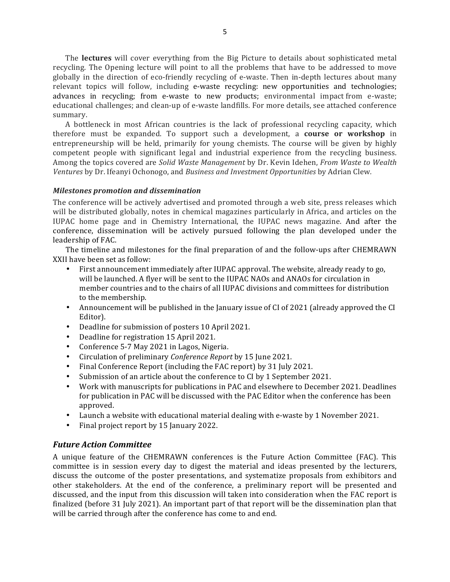The **lectures** will cover everything from the Big Picture to details about sophisticated metal recycling. The Opening lecture will point to all the problems that have to be addressed to move globally in the direction of eco-friendly recycling of e-waste. Then in-depth lectures about many relevant topics will follow, including e-waste recycling: new opportunities and technologies; advances in recycling; from e-waste to new products; environmental impact from e-waste; educational challenges; and clean-up of e-waste landfills. For more details, see attached conference summary.

A bottleneck in most African countries is the lack of professional recycling capacity, which therefore must be expanded. To support such a development, a **course or workshop** in entrepreneurship will be held, primarily for young chemists. The course will be given by highly competent people with significant legal and industrial experience from the recycling business. Among the topics covered are *Solid Waste Management* by Dr. Kevin Idehen, *From Waste to Wealth Ventures* by Dr. Ifeanyi Ochonogo, and *Business and Investment Opportunities* by Adrian Clew.

#### *Milestones promotion and dissemination*

The conference will be actively advertised and promoted through a web site, press releases which will be distributed globally, notes in chemical magazines particularly in Africa, and articles on the IUPAC home page and in Chemistry International, the IUPAC news magazine. And after the conference, dissemination will be actively pursued following the plan developed under the leadership of FAC.

The timeline and milestones for the final preparation of and the follow-ups after CHEMRAWN XXII have been set as follow:

- First announcement immediately after IUPAC approval. The website, already ready to go, will be launched. A flyer will be sent to the IUPAC NAOs and ANAOs for circulation in member countries and to the chairs of all IUPAC divisions and committees for distribution to the membership.
- Announcement will be published in the January issue of CI of 2021 (already approved the CI Editor).
- Deadline for submission of posters 10 April 2021.
- Deadline for registration 15 April 2021.
- Conference 5-7 May 2021 in Lagos, Nigeria.
- Circulation of preliminary *Conference Report* by 15 June 2021.
- Final Conference Report (including the FAC report) by 31 July 2021.
- Submission of an article about the conference to CI by 1 September 2021.
- Work with manuscripts for publications in PAC and elsewhere to December 2021. Deadlines for publication in PAC will be discussed with the PAC Editor when the conference has been approved.
- Launch a website with educational material dealing with e-waste by 1 November 2021.
- Final project report by 15 January 2022.

## *Future Action Committee*

A unique feature of the CHEMRAWN conferences is the Future Action Committee (FAC). This committee is in session every day to digest the material and ideas presented by the lecturers, discuss the outcome of the poster presentations, and systematize proposals from exhibitors and other stakeholders. At the end of the conference, a preliminary report will be presented and discussed, and the input from this discussion will taken into consideration when the FAC report is finalized (before 31 July 2021). An important part of that report will be the dissemination plan that will be carried through after the conference has come to and end.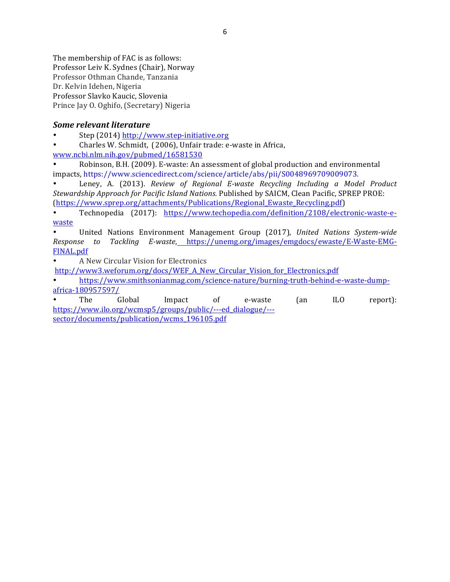The membership of FAC is as follows: Professor Leiv K. Sydnes (Chair), Norway Professor Othman Chande, Tanzania Dr. Kelvin Idehen, Nigeria Professor Slavko Kaucic, Slovenia Prince Jay O. Oghifo, (Secretary) Nigeria

## *Some relevant literature*

Step (2014) http://www.step-initiative.org

• Charles W. Schmidt, (2006), Unfair trade: e-waste in Africa,

www.ncbi.nlm.nih.gov/pubmed/16581530

Robinson, B.H. (2009). E-waste: An assessment of global production and environmental impacts, https://www.sciencedirect.com/science/article/abs/pii/S0048969709009073.

Leney, A. (2013). *Review of Regional E-waste Recycling Including a Model Product Stewardship Approach for Pacific Island Nations.* Published by SAICM, Clean Pacific, SPREP PROE: (https://www.sprep.org/attachments/Publications/Regional\_Ewaste\_Recycling.pdf)

• Technopedia (2017): https://www.techopedia.com/definition/2108/electronic-waste-ewaste

• United Nations Environment Management Group (2017), *United Nations System-wide Response to Tackling E-waste*, https://unemg.org/images/emgdocs/ewaste/E-Waste-EMG-FINAL.pdf

• A New Circular Vision for Electronics

http://www3.weforum.org/docs/WEF\_A\_New\_Circular\_Vision\_for\_Electronics.pdf

• https://www.smithsonianmag.com/science-nature/burning-truth-behind-e-waste-dumpafrica-180957597/

• The Global Impact of e-waste (an ILO report): https://www.ilo.org/wcmsp5/groups/public/---ed\_dialogue/-- sector/documents/publication/wcms\_196105.pdf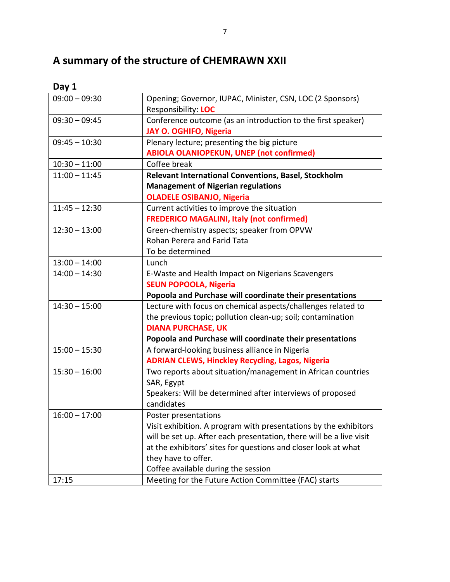# A summary of the structure of CHEMRAWN XXII

| ۰.<br>. .<br>× |  |
|----------------|--|
|----------------|--|

| $09:00 - 09:30$ | Opening; Governor, IUPAC, Minister, CSN, LOC (2 Sponsors)<br>Responsibility: LOC |
|-----------------|----------------------------------------------------------------------------------|
| $09:30 - 09:45$ | Conference outcome (as an introduction to the first speaker)                     |
|                 | <b>JAY O. OGHIFO, Nigeria</b>                                                    |
| $09:45 - 10:30$ | Plenary lecture; presenting the big picture                                      |
|                 | <b>ABIOLA OLANIOPEKUN, UNEP (not confirmed)</b>                                  |
| $10:30 - 11:00$ | Coffee break                                                                     |
| $11:00 - 11:45$ | Relevant International Conventions, Basel, Stockholm                             |
|                 | <b>Management of Nigerian regulations</b>                                        |
|                 | <b>OLADELE OSIBANJO, Nigeria</b>                                                 |
| $11:45 - 12:30$ | Current activities to improve the situation                                      |
|                 | <b>FREDERICO MAGALINI, Italy (not confirmed)</b>                                 |
| $12:30 - 13:00$ | Green-chemistry aspects; speaker from OPVW                                       |
|                 | Rohan Perera and Farid Tata                                                      |
|                 | To be determined                                                                 |
| $13:00 - 14:00$ | Lunch                                                                            |
| $14:00 - 14:30$ | E-Waste and Health Impact on Nigerians Scavengers                                |
|                 | <b>SEUN POPOOLA, Nigeria</b>                                                     |
|                 | Popoola and Purchase will coordinate their presentations                         |
| $14:30 - 15:00$ | Lecture with focus on chemical aspects/challenges related to                     |
|                 | the previous topic; pollution clean-up; soil; contamination                      |
|                 | <b>DIANA PURCHASE, UK</b>                                                        |
|                 | Popoola and Purchase will coordinate their presentations                         |
| $15:00 - 15:30$ | A forward-looking business alliance in Nigeria                                   |
|                 | <b>ADRIAN CLEWS, Hinckley Recycling, Lagos, Nigeria</b>                          |
| $15:30 - 16:00$ | Two reports about situation/management in African countries                      |
|                 | SAR, Egypt                                                                       |
|                 | Speakers: Will be determined after interviews of proposed                        |
|                 | candidates                                                                       |
| $16:00 - 17:00$ | Poster presentations                                                             |
|                 | Visit exhibition. A program with presentations by the exhibitors                 |
|                 | will be set up. After each presentation, there will be a live visit              |
|                 | at the exhibitors' sites for questions and closer look at what                   |
|                 | they have to offer.                                                              |
|                 | Coffee available during the session                                              |
| 17:15           | Meeting for the Future Action Committee (FAC) starts                             |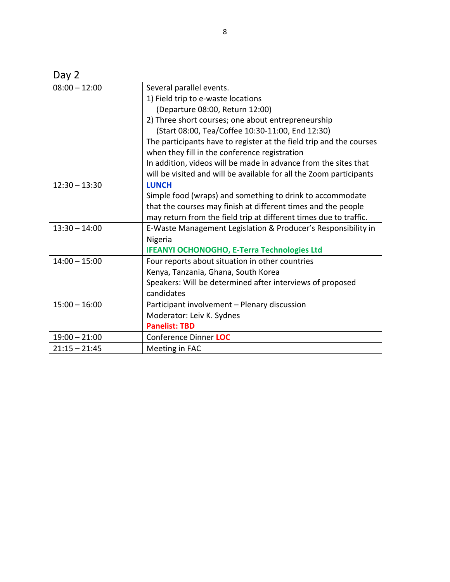| I |  |
|---|--|
|---|--|

| $08:00 - 12:00$ | Several parallel events.                                            |
|-----------------|---------------------------------------------------------------------|
|                 | 1) Field trip to e-waste locations                                  |
|                 | (Departure 08:00, Return 12:00)                                     |
|                 | 2) Three short courses; one about entrepreneurship                  |
|                 | (Start 08:00, Tea/Coffee 10:30-11:00, End 12:30)                    |
|                 | The participants have to register at the field trip and the courses |
|                 | when they fill in the conference registration                       |
|                 | In addition, videos will be made in advance from the sites that     |
|                 | will be visited and will be available for all the Zoom participants |
| $12:30 - 13:30$ | <b>LUNCH</b>                                                        |
|                 | Simple food (wraps) and something to drink to accommodate           |
|                 | that the courses may finish at different times and the people       |
|                 | may return from the field trip at different times due to traffic.   |
| $13:30 - 14:00$ | E-Waste Management Legislation & Producer's Responsibility in       |
|                 | Nigeria                                                             |
|                 | <b>IFEANYI OCHONOGHO, E-Terra Technologies Ltd</b>                  |
| $14:00 - 15:00$ | Four reports about situation in other countries                     |
|                 | Kenya, Tanzania, Ghana, South Korea                                 |
|                 | Speakers: Will be determined after interviews of proposed           |
|                 | candidates                                                          |
| $15:00 - 16:00$ | Participant involvement - Plenary discussion                        |
|                 | Moderator: Leiv K. Sydnes                                           |
|                 | <b>Panelist: TBD</b>                                                |
| $19:00 - 21:00$ | Conference Dinner LOC                                               |
| $21:15 - 21:45$ | Meeting in FAC                                                      |